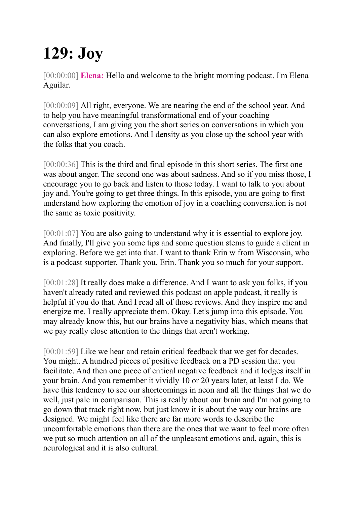## **129: Joy**

[00:00:00] **Elena:** Hello and welcome to the bright morning podcast. I'm Elena Aguilar.

[00:00:09] All right, everyone. We are nearing the end of the school year. And to help you have meaningful transformational end of your coaching conversations, I am giving you the short series on conversations in which you can also explore emotions. And I density as you close up the school year with the folks that you coach.

[00:00:36] This is the third and final episode in this short series. The first one was about anger. The second one was about sadness. And so if you miss those, I encourage you to go back and listen to those today. I want to talk to you about joy and. You're going to get three things. In this episode, you are going to first understand how exploring the emotion of joy in a coaching conversation is not the same as toxic positivity.

[00:01:07] You are also going to understand why it is essential to explore joy. And finally, I'll give you some tips and some question stems to guide a client in exploring. Before we get into that. I want to thank Erin w from Wisconsin, who is a podcast supporter. Thank you, Erin. Thank you so much for your support.

[00:01:28] It really does make a difference. And I want to ask you folks, if you haven't already rated and reviewed this podcast on apple podcast, it really is helpful if you do that. And I read all of those reviews. And they inspire me and energize me. I really appreciate them. Okay. Let's jump into this episode. You may already know this, but our brains have a negativity bias, which means that we pay really close attention to the things that aren't working.

[00:01:59] Like we hear and retain critical feedback that we get for decades. You might. A hundred pieces of positive feedback on a PD session that you facilitate. And then one piece of critical negative feedback and it lodges itself in your brain. And you remember it vividly 10 or 20 years later, at least I do. We have this tendency to see our shortcomings in neon and all the things that we do well, just pale in comparison. This is really about our brain and I'm not going to go down that track right now, but just know it is about the way our brains are designed. We might feel like there are far more words to describe the uncomfortable emotions than there are the ones that we want to feel more often we put so much attention on all of the unpleasant emotions and, again, this is neurological and it is also cultural.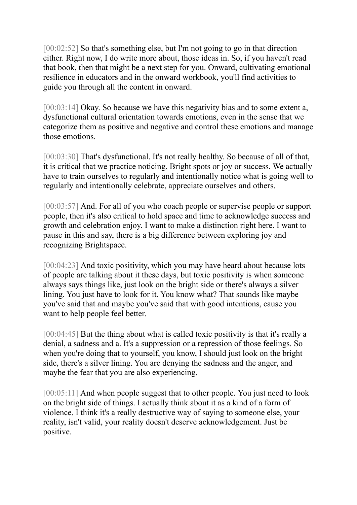[00:02:52] So that's something else, but I'm not going to go in that direction either. Right now, I do write more about, those ideas in. So, if you haven't read that book, then that might be a next step for you. Onward, cultivating emotional resilience in educators and in the onward workbook, you'll find activities to guide you through all the content in onward.

[00:03:14] Okav. So because we have this negativity bias and to some extent a, dysfunctional cultural orientation towards emotions, even in the sense that we categorize them as positive and negative and control these emotions and manage those emotions.

[00:03:30] That's dysfunctional. It's not really healthy. So because of all of that, it is critical that we practice noticing. Bright spots or joy or success. We actually have to train ourselves to regularly and intentionally notice what is going well to regularly and intentionally celebrate, appreciate ourselves and others.

[00:03:57] And. For all of you who coach people or supervise people or support people, then it's also critical to hold space and time to acknowledge success and growth and celebration enjoy. I want to make a distinction right here. I want to pause in this and say, there is a big difference between exploring joy and recognizing Brightspace.

[00:04:23] And toxic positivity, which you may have heard about because lots of people are talking about it these days, but toxic positivity is when someone always says things like, just look on the bright side or there's always a silver lining. You just have to look for it. You know what? That sounds like maybe you've said that and maybe you've said that with good intentions, cause you want to help people feel better.

[00:04:45] But the thing about what is called toxic positivity is that it's really a denial, a sadness and a. It's a suppression or a repression of those feelings. So when you're doing that to yourself, you know, I should just look on the bright side, there's a silver lining. You are denying the sadness and the anger, and maybe the fear that you are also experiencing.

[00:05:11] And when people suggest that to other people. You just need to look on the bright side of things. I actually think about it as a kind of a form of violence. I think it's a really destructive way of saying to someone else, your reality, isn't valid, your reality doesn't deserve acknowledgement. Just be positive.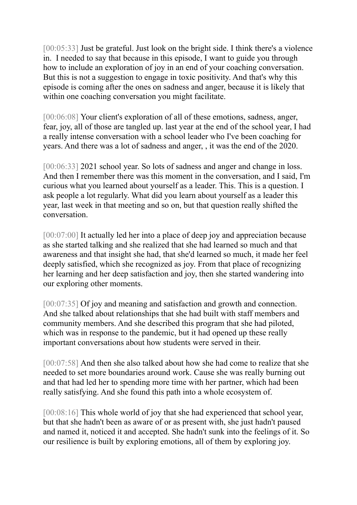[00:05:33] Just be grateful. Just look on the bright side. I think there's a violence in. I needed to say that because in this episode, I want to guide you through how to include an exploration of joy in an end of your coaching conversation. But this is not a suggestion to engage in toxic positivity. And that's why this episode is coming after the ones on sadness and anger, because it is likely that within one coaching conversation you might facilitate.

[00:06:08] Your client's exploration of all of these emotions, sadness, anger, fear, joy, all of those are tangled up. last year at the end of the school year, I had a really intense conversation with a school leader who I've been coaching for years. And there was a lot of sadness and anger, , it was the end of the 2020.

[00:06:33] 2021 school year. So lots of sadness and anger and change in loss. And then I remember there was this moment in the conversation, and I said, I'm curious what you learned about yourself as a leader. This. This is a question. I ask people a lot regularly. What did you learn about yourself as a leader this year, last week in that meeting and so on, but that question really shifted the conversation.

[00:07:00] It actually led her into a place of deep joy and appreciation because as she started talking and she realized that she had learned so much and that awareness and that insight she had, that she'd learned so much, it made her feel deeply satisfied, which she recognized as joy. From that place of recognizing her learning and her deep satisfaction and joy, then she started wandering into our exploring other moments.

[00:07:35] Of joy and meaning and satisfaction and growth and connection. And she talked about relationships that she had built with staff members and community members. And she described this program that she had piloted, which was in response to the pandemic, but it had opened up these really important conversations about how students were served in their.

[00:07:58] And then she also talked about how she had come to realize that she needed to set more boundaries around work. Cause she was really burning out and that had led her to spending more time with her partner, which had been really satisfying. And she found this path into a whole ecosystem of.

[00:08:16] This whole world of joy that she had experienced that school year, but that she hadn't been as aware of or as present with, she just hadn't paused and named it, noticed it and accepted. She hadn't sunk into the feelings of it. So our resilience is built by exploring emotions, all of them by exploring joy.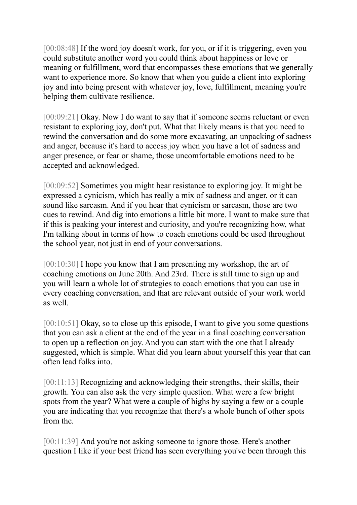[00:08:48] If the word joy doesn't work, for you, or if it is triggering, even you could substitute another word you could think about happiness or love or meaning or fulfillment, word that encompasses these emotions that we generally want to experience more. So know that when you guide a client into exploring joy and into being present with whatever joy, love, fulfillment, meaning you're helping them cultivate resilience.

[00:09:21] Okay. Now I do want to say that if someone seems reluctant or even resistant to exploring joy, don't put. What that likely means is that you need to rewind the conversation and do some more excavating, an unpacking of sadness and anger, because it's hard to access joy when you have a lot of sadness and anger presence, or fear or shame, those uncomfortable emotions need to be accepted and acknowledged.

[00:09:52] Sometimes you might hear resistance to exploring joy. It might be expressed a cynicism, which has really a mix of sadness and anger, or it can sound like sarcasm. And if you hear that cynicism or sarcasm, those are two cues to rewind. And dig into emotions a little bit more. I want to make sure that if this is peaking your interest and curiosity, and you're recognizing how, what I'm talking about in terms of how to coach emotions could be used throughout the school year, not just in end of your conversations.

[00:10:30] I hope you know that I am presenting my workshop, the art of coaching emotions on June 20th. And 23rd. There is still time to sign up and you will learn a whole lot of strategies to coach emotions that you can use in every coaching conversation, and that are relevant outside of your work world as well.

[00:10:51] Okay, so to close up this episode, I want to give you some questions that you can ask a client at the end of the year in a final coaching conversation to open up a reflection on joy. And you can start with the one that I already suggested, which is simple. What did you learn about yourself this year that can often lead folks into.

[00:11:13] Recognizing and acknowledging their strengths, their skills, their growth. You can also ask the very simple question. What were a few bright spots from the year? What were a couple of highs by saying a few or a couple you are indicating that you recognize that there's a whole bunch of other spots from the.

[00:11:39] And you're not asking someone to ignore those. Here's another question I like if your best friend has seen everything you've been through this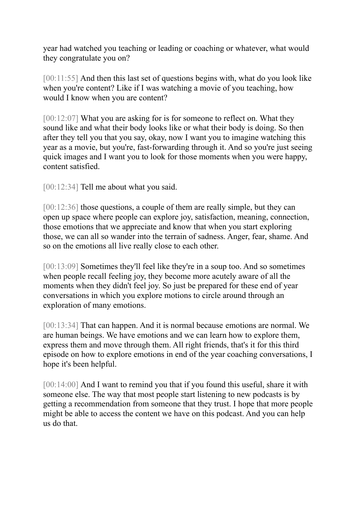year had watched you teaching or leading or coaching or whatever, what would they congratulate you on?

[00:11:55] And then this last set of questions begins with, what do you look like when you're content? Like if I was watching a movie of you teaching, how would I know when you are content?

[00:12:07] What you are asking for is for someone to reflect on. What they sound like and what their body looks like or what their body is doing. So then after they tell you that you say, okay, now I want you to imagine watching this year as a movie, but you're, fast-forwarding through it. And so you're just seeing quick images and I want you to look for those moments when you were happy, content satisfied.

[00:12:34] Tell me about what you said.

[00:12:36] those questions, a couple of them are really simple, but they can open up space where people can explore joy, satisfaction, meaning, connection, those emotions that we appreciate and know that when you start exploring those, we can all so wander into the terrain of sadness. Anger, fear, shame. And so on the emotions all live really close to each other.

[00:13:09] Sometimes they'll feel like they're in a soup too. And so sometimes when people recall feeling joy, they become more acutely aware of all the moments when they didn't feel joy. So just be prepared for these end of year conversations in which you explore motions to circle around through an exploration of many emotions.

[00:13:34] That can happen. And it is normal because emotions are normal. We are human beings. We have emotions and we can learn how to explore them, express them and move through them. All right friends, that's it for this third episode on how to explore emotions in end of the year coaching conversations, I hope it's been helpful.

[00:14:00] And I want to remind you that if you found this useful, share it with someone else. The way that most people start listening to new podcasts is by getting a recommendation from someone that they trust. I hope that more people might be able to access the content we have on this podcast. And you can help us do that.